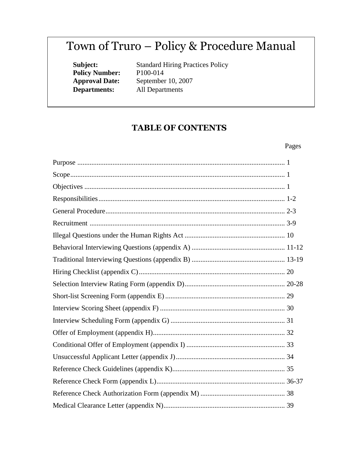# Town of Truro – Policy & Procedure Manual

**Policy Number:** P100-014<br>**Approval Date:** September **Departments:** All Departments

**Subject:** Standard Hiring Practices Policy September 10, 2007

## **TABLE OF CONTENTS**

## Pages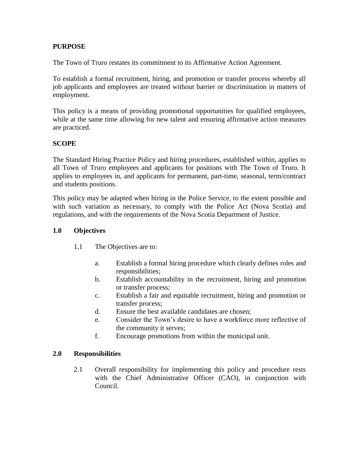## **PURPOSE**

The Town of Truro restates its commitment to its Affirmative Action Agreement.

To establish a formal recruitment, hiring, and promotion or transfer process whereby all job applicants and employees are treated without barrier or discrimination in matters of employment.

This policy is a means of providing promotional opportunities for qualified employees, while at the same time allowing for new talent and ensuring affirmative action measures are practiced.

## **SCOPE**

The Standard Hiring Practice Policy and hiring procedures, established within, applies to all Town of Truro employees and applicants for positions with The Town of Truro. It applies to employees in, and applicants for permanent, part-time, seasonal, term/contract and students positions.

This policy may be adapted when hiring in the Police Service, to the extent possible and with such variation as necessary, to comply with the Police Act (Nova Scotia) and regulations, and with the requirements of the Nova Scotia Department of Justice.

#### **1.0 Objectives**

- 1.1 The Objectives are to:
	- a. Establish a formal hiring procedure which clearly defines roles and responsibilities;
	- b. Establish accountability in the recruitment, hiring and promotion or transfer process;
	- c. Establish a fair and equitable recruitment, hiring and promotion or transfer process;
	- d. Ensure the best available candidates are chosen;
	- e. Consider the Town's desire to have a workforce more reflective of the community it serves;
	- f. Encourage promotions from within the municipal unit.

#### **2.0 Responsibilities**

2.1 Overall responsibility for implementing this policy and procedure rests with the Chief Administrative Officer (CAO), in conjunction with Council.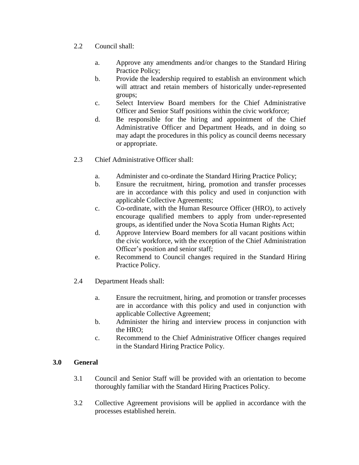- 2.2 Council shall:
	- a. Approve any amendments and/or changes to the Standard Hiring Practice Policy;
	- b. Provide the leadership required to establish an environment which will attract and retain members of historically under-represented groups;
	- c. Select Interview Board members for the Chief Administrative Officer and Senior Staff positions within the civic workforce;
	- d. Be responsible for the hiring and appointment of the Chief Administrative Officer and Department Heads, and in doing so may adapt the procedures in this policy as council deems necessary or appropriate.
- 2.3 Chief Administrative Officer shall:
	- a. Administer and co-ordinate the Standard Hiring Practice Policy;
	- b. Ensure the recruitment, hiring, promotion and transfer processes are in accordance with this policy and used in conjunction with applicable Collective Agreements;
	- c. Co-ordinate, with the Human Resource Officer (HRO), to actively encourage qualified members to apply from under-represented groups, as identified under the Nova Scotia Human Rights Act;
	- d. Approve Interview Board members for all vacant positions within the civic workforce, with the exception of the Chief Administration Officer's position and senior staff;
	- e. Recommend to Council changes required in the Standard Hiring Practice Policy.
- 2.4 Department Heads shall:
	- a. Ensure the recruitment, hiring, and promotion or transfer processes are in accordance with this policy and used in conjunction with applicable Collective Agreement;
	- b. Administer the hiring and interview process in conjunction with the HRO;
	- c. Recommend to the Chief Administrative Officer changes required in the Standard Hiring Practice Policy.

## **3.0 General**

- 3.1 Council and Senior Staff will be provided with an orientation to become thoroughly familiar with the Standard Hiring Practices Policy.
- 3.2 Collective Agreement provisions will be applied in accordance with the processes established herein.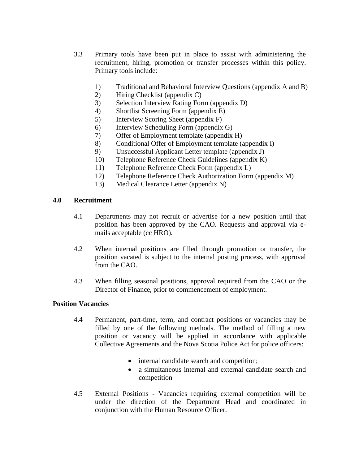- 3.3 Primary tools have been put in place to assist with administering the recruitment, hiring, promotion or transfer processes within this policy. Primary tools include:
	- 1) Traditional and Behavioral Interview Questions (appendix A and B)
	- 2) Hiring Checklist (appendix C)
	- 3) Selection Interview Rating Form (appendix D)
	- 4) Shortlist Screening Form (appendix E)
	- 5) Interview Scoring Sheet (appendix F)
	- 6) Interview Scheduling Form (appendix G)
	- 7) Offer of Employment template (appendix H)
	- 8) Conditional Offer of Employment template (appendix I)
	- 9) Unsuccessful Applicant Letter template (appendix J)
	- 10) Telephone Reference Check Guidelines (appendix K)
	- 11) Telephone Reference Check Form (appendix L)
	- 12) Telephone Reference Check Authorization Form (appendix M)
	- 13) Medical Clearance Letter (appendix N)

#### **4.0 Recruitment**

- 4.1 Departments may not recruit or advertise for a new position until that position has been approved by the CAO. Requests and approval via emails acceptable (cc HRO).
- 4.2 When internal positions are filled through promotion or transfer, the position vacated is subject to the internal posting process, with approval from the CAO.
- 4.3 When filling seasonal positions, approval required from the CAO or the Director of Finance, prior to commencement of employment.

## **Position Vacancies**

- 4.4 Permanent, part-time, term, and contract positions or vacancies may be filled by one of the following methods. The method of filling a new position or vacancy will be applied in accordance with applicable Collective Agreements and the Nova Scotia Police Act for police officers:
	- internal candidate search and competition;
	- a simultaneous internal and external candidate search and competition
- 4.5 External Positions Vacancies requiring external competition will be under the direction of the Department Head and coordinated in conjunction with the Human Resource Officer.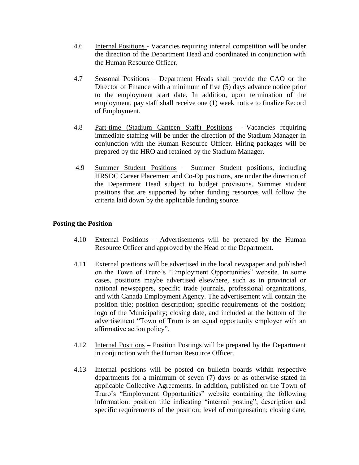- 4.6 Internal Positions Vacancies requiring internal competition will be under the direction of the Department Head and coordinated in conjunction with the Human Resource Officer.
- 4.7 Seasonal Positions Department Heads shall provide the CAO or the Director of Finance with a minimum of five (5) days advance notice prior to the employment start date. In addition, upon termination of the employment, pay staff shall receive one (1) week notice to finalize Record of Employment.
- 4.8 Part-time (Stadium Canteen Staff) Positions Vacancies requiring immediate staffing will be under the direction of the Stadium Manager in conjunction with the Human Resource Officer. Hiring packages will be prepared by the HRO and retained by the Stadium Manager.
- 4.9 Summer Student Positions Summer Student positions, including HRSDC Career Placement and Co-Op positions, are under the direction of the Department Head subject to budget provisions. Summer student positions that are supported by other funding resources will follow the criteria laid down by the applicable funding source.

## **Posting the Position**

- 4.10 External Positions Advertisements will be prepared by the Human Resource Officer and approved by the Head of the Department.
- 4.11 External positions will be advertised in the local newspaper and published on the Town of Truro's "Employment Opportunities" website. In some cases, positions maybe advertised elsewhere, such as in provincial or national newspapers, specific trade journals, professional organizations, and with Canada Employment Agency. The advertisement will contain the position title; position description; specific requirements of the position; logo of the Municipality; closing date, and included at the bottom of the advertisement "Town of Truro is an equal opportunity employer with an affirmative action policy".
- 4.12 Internal Positions Position Postings will be prepared by the Department in conjunction with the Human Resource Officer.
- 4.13 Internal positions will be posted on bulletin boards within respective departments for a minimum of seven (7) days or as otherwise stated in applicable Collective Agreements. In addition, published on the Town of Truro's "Employment Opportunities" website containing the following information: position title indicating "internal posting"; description and specific requirements of the position; level of compensation; closing date,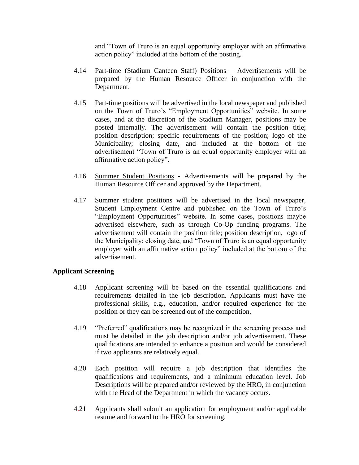and "Town of Truro is an equal opportunity employer with an affirmative action policy" included at the bottom of the posting.

- 4.14 Part-time (Stadium Canteen Staff) Positions Advertisements will be prepared by the Human Resource Officer in conjunction with the Department.
- 4.15 Part-time positions will be advertised in the local newspaper and published on the Town of Truro's "Employment Opportunities" website. In some cases, and at the discretion of the Stadium Manager, positions may be posted internally. The advertisement will contain the position title; position description; specific requirements of the position; logo of the Municipality; closing date, and included at the bottom of the advertisement "Town of Truro is an equal opportunity employer with an affirmative action policy".
- 4.16 Summer Student Positions Advertisements will be prepared by the Human Resource Officer and approved by the Department.
- 4.17 Summer student positions will be advertised in the local newspaper, Student Employment Centre and published on the Town of Truro's "Employment Opportunities" website. In some cases, positions maybe advertised elsewhere, such as through Co-Op funding programs. The advertisement will contain the position title; position description, logo of the Municipality; closing date, and "Town of Truro is an equal opportunity employer with an affirmative action policy" included at the bottom of the advertisement.

#### **Applicant Screening**

- 4.18 Applicant screening will be based on the essential qualifications and requirements detailed in the job description. Applicants must have the professional skills, e.g., education, and/or required experience for the position or they can be screened out of the competition.
- 4.19 "Preferred" qualifications may be recognized in the screening process and must be detailed in the job description and/or job advertisement. These qualifications are intended to enhance a position and would be considered if two applicants are relatively equal.
- 4.20 Each position will require a job description that identifies the qualifications and requirements, and a minimum education level. Job Descriptions will be prepared and/or reviewed by the HRO, in conjunction with the Head of the Department in which the vacancy occurs.
- 4.21 Applicants shall submit an application for employment and/or applicable resume and forward to the HRO for screening.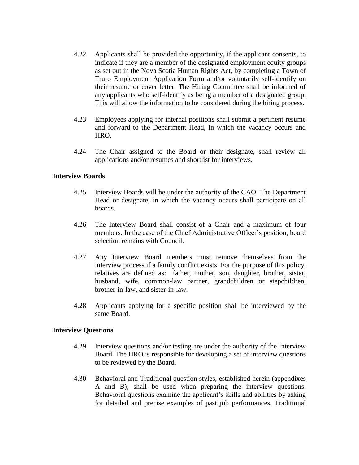- 4.22 Applicants shall be provided the opportunity, if the applicant consents, to indicate if they are a member of the designated employment equity groups as set out in the Nova Scotia Human Rights Act, by completing a Town of Truro Employment Application Form and/or voluntarily self-identify on their resume or cover letter. The Hiring Committee shall be informed of any applicants who self-identify as being a member of a designated group. This will allow the information to be considered during the hiring process.
- 4.23 Employees applying for internal positions shall submit a pertinent resume and forward to the Department Head, in which the vacancy occurs and HRO.
- 4.24 The Chair assigned to the Board or their designate, shall review all applications and/or resumes and shortlist for interviews.

#### **Interview Boards**

- 4.25 Interview Boards will be under the authority of the CAO. The Department Head or designate, in which the vacancy occurs shall participate on all boards.
- 4.26 The Interview Board shall consist of a Chair and a maximum of four members. In the case of the Chief Administrative Officer's position, board selection remains with Council.
- 4.27 Any Interview Board members must remove themselves from the interview process if a family conflict exists. For the purpose of this policy, relatives are defined as: father, mother, son, daughter, brother, sister, husband, wife, common-law partner, grandchildren or stepchildren, brother-in-law, and sister-in-law.
- 4.28 Applicants applying for a specific position shall be interviewed by the same Board.

#### **Interview Questions**

- 4.29 Interview questions and/or testing are under the authority of the Interview Board. The HRO is responsible for developing a set of interview questions to be reviewed by the Board.
- 4.30 Behavioral and Traditional question styles, established herein (appendixes A and B), shall be used when preparing the interview questions. Behavioral questions examine the applicant's skills and abilities by asking for detailed and precise examples of past job performances. Traditional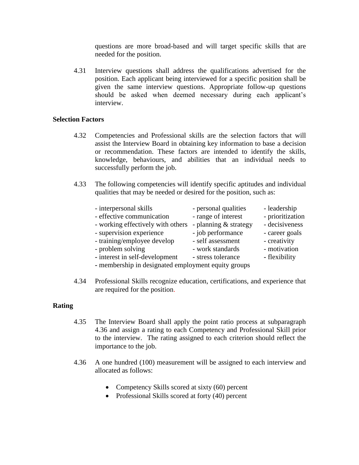questions are more broad-based and will target specific skills that are needed for the position.

4.31 Interview questions shall address the qualifications advertised for the position. Each applicant being interviewed for a specific position shall be given the same interview questions. Appropriate follow-up questions should be asked when deemed necessary during each applicant's interview.

#### **Selection Factors**

- 4.32 Competencies and Professional skills are the selection factors that will assist the Interview Board in obtaining key information to base a decision or recommendation. These factors are intended to identify the skills, knowledge, behaviours, and abilities that an individual needs to successfully perform the job.
- 4.33 The following competencies will identify specific aptitudes and individual qualities that may be needed or desired for the position, such as:

| - interpersonal skills                              | - personal qualities  | - leadership     |
|-----------------------------------------------------|-----------------------|------------------|
| - effective communication                           | - range of interest   | - prioritization |
| - working effectively with others                   | - planning & strategy | - decisiveness   |
| - supervision experience                            | - job performance     | - career goals   |
| - training/employee develop                         | - self assessment     | - creativity     |
| - problem solving                                   | - work standards      | - motivation     |
| - interest in self-development                      | - stress tolerance    | - flexibility    |
| - membership in designated employment equity groups |                       |                  |

4.34 Professional Skills recognize education, certifications, and experience that are required for the position.

#### **Rating**

- 4.35 The Interview Board shall apply the point ratio process at subparagraph 4.36 and assign a rating to each Competency and Professional Skill prior to the interview. The rating assigned to each criterion should reflect the importance to the job.
- 4.36 A one hundred (100) measurement will be assigned to each interview and allocated as follows:
	- Competency Skills scored at sixty (60) percent
	- Professional Skills scored at forty (40) percent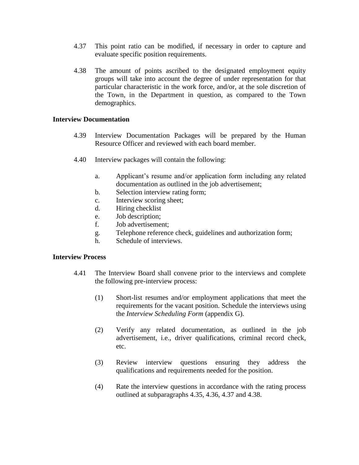- 4.37 This point ratio can be modified, if necessary in order to capture and evaluate specific position requirements.
- 4.38 The amount of points ascribed to the designated employment equity groups will take into account the degree of under representation for that particular characteristic in the work force, and/or, at the sole discretion of the Town, in the Department in question, as compared to the Town demographics.

#### **Interview Documentation**

- 4.39 Interview Documentation Packages will be prepared by the Human Resource Officer and reviewed with each board member.
- 4.40 Interview packages will contain the following:
	- a. Applicant's resume and/or application form including any related documentation as outlined in the job advertisement;
	- b. Selection interview rating form;
	- c. Interview scoring sheet;
	- d. Hiring checklist
	- e. Job description;
	- f. Job advertisement;
	- g. Telephone reference check, guidelines and authorization form;
	- h. Schedule of interviews.

#### **Interview Process**

- 4.41 The Interview Board shall convene prior to the interviews and complete the following pre-interview process:
	- (1) Short-list resumes and/or employment applications that meet the requirements for the vacant position. Schedule the interviews using the *Interview Scheduling Form* (appendix G).
	- (2) Verify any related documentation, as outlined in the job advertisement, i.e., driver qualifications, criminal record check, etc.
	- (3) Review interview questions ensuring they address the qualifications and requirements needed for the position.
	- (4) Rate the interview questions in accordance with the rating process outlined at subparagraphs 4.35, 4.36, 4.37 and 4.38.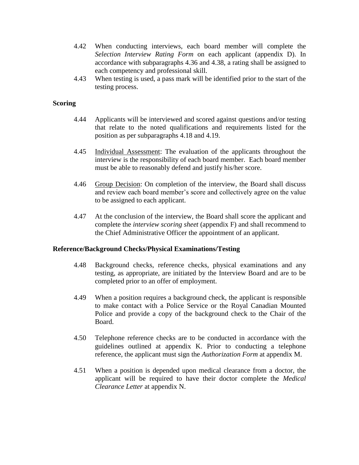- 4.42 When conducting interviews, each board member will complete the *Selection Interview Rating Form* on each applicant (appendix D). In accordance with subparagraphs 4.36 and 4.38, a rating shall be assigned to each competency and professional skill.
- 4.43 When testing is used, a pass mark will be identified prior to the start of the testing process.

#### **Scoring**

- 4.44 Applicants will be interviewed and scored against questions and/or testing that relate to the noted qualifications and requirements listed for the position as per subparagraphs 4.18 and 4.19.
- 4.45 Individual Assessment: The evaluation of the applicants throughout the interview is the responsibility of each board member. Each board member must be able to reasonably defend and justify his/her score.
- 4.46 Group Decision: On completion of the interview, the Board shall discuss and review each board member's score and collectively agree on the value to be assigned to each applicant.
- 4.47 At the conclusion of the interview, the Board shall score the applicant and complete the *interview scoring sheet* (appendix F) and shall recommend to the Chief Administrative Officer the appointment of an applicant.

#### **Reference/Background Checks/Physical Examinations/Testing**

- 4.48 Background checks, reference checks, physical examinations and any testing, as appropriate, are initiated by the Interview Board and are to be completed prior to an offer of employment.
- 4.49 When a position requires a background check, the applicant is responsible to make contact with a Police Service or the Royal Canadian Mounted Police and provide a copy of the background check to the Chair of the Board.
- 4.50 Telephone reference checks are to be conducted in accordance with the guidelines outlined at appendix K. Prior to conducting a telephone reference, the applicant must sign the *Authorization Form* at appendix M.
- 4.51 When a position is depended upon medical clearance from a doctor, the applicant will be required to have their doctor complete the *Medical Clearance Letter* at appendix N.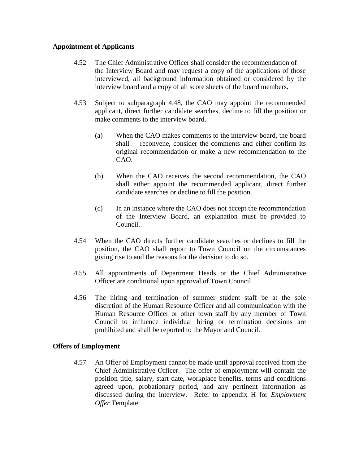#### **Appointment of Applicants**

- 4.52 The Chief Administrative Officer shall consider the recommendation of the Interview Board and may request a copy of the applications of those interviewed, all background information obtained or considered by the interview board and a copy of all score sheets of the board members.
- 4.53 Subject to subparagraph 4.48, the CAO may appoint the recommended applicant, direct further candidate searches, decline to fill the position or make comments to the interview board.
	- (a) When the CAO makes comments to the interview board, the board shall reconvene, consider the comments and either confirm its original recommendation or make a new recommendation to the CAO.
	- (b) When the CAO receives the second recommendation, the CAO shall either appoint the recommended applicant, direct further candidate searches or decline to fill the position.
	- (c) In an instance where the CAO does not accept the recommendation of the Interview Board, an explanation must be provided to Council.
- 4.54 When the CAO directs further candidate searches or declines to fill the position, the CAO shall report to Town Council on the circumstances giving rise to and the reasons for the decision to do so.
- 4.55 All appointments of Department Heads or the Chief Administrative Officer are conditional upon approval of Town Council.
- 4.56 The hiring and termination of summer student staff be at the sole discretion of the Human Resource Officer and all communication with the Human Resource Officer or other town staff by any member of Town Council to influence individual hiring or termination decisions are prohibited and shall be reported to the Mayor and Council.

## **Offers of Employment**

4.57 An Offer of Employment cannot be made until approval received from the Chief Administrative Officer. The offer of employment will contain the position title, salary, start date, workplace benefits, terms and conditions agreed upon, probationary period, and any pertinent information as discussed during the interview. Refer to appendix H for *Employment Offer* Template.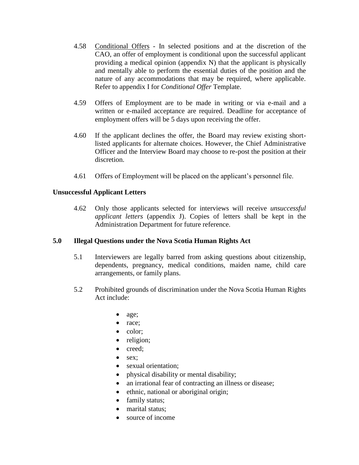- 4.58 Conditional Offers In selected positions and at the discretion of the CAO, an offer of employment is conditional upon the successful applicant providing a medical opinion (appendix N) that the applicant is physically and mentally able to perform the essential duties of the position and the nature of any accommodations that may be required, where applicable. Refer to appendix I for *Conditional Offer* Template.
- 4.59 Offers of Employment are to be made in writing or via e-mail and a written or e-mailed acceptance are required. Deadline for acceptance of employment offers will be 5 days upon receiving the offer.
- 4.60 If the applicant declines the offer, the Board may review existing shortlisted applicants for alternate choices. However, the Chief Administrative Officer and the Interview Board may choose to re-post the position at their discretion.
- 4.61 Offers of Employment will be placed on the applicant's personnel file.

## **Unsuccessful Applicant Letters**

4.62 Only those applicants selected for interviews will receive *unsuccessful applicant letters* (appendix J). Copies of letters shall be kept in the Administration Department for future reference.

#### **5.0 Illegal Questions under the Nova Scotia Human Rights Act**

- 5.1 Interviewers are legally barred from asking questions about citizenship, dependents, pregnancy, medical conditions, maiden name, child care arrangements, or family plans.
- 5.2 Prohibited grounds of discrimination under the Nova Scotia Human Rights Act include:
	- age;
	- race;
	- color;
	- religion;
	- creed;
	- $\bullet$  sex:
	- sexual orientation;
	- physical disability or mental disability;
	- an irrational fear of contracting an illness or disease;
	- ethnic, national or aboriginal origin;
	- family status;
	- marital status:
	- source of income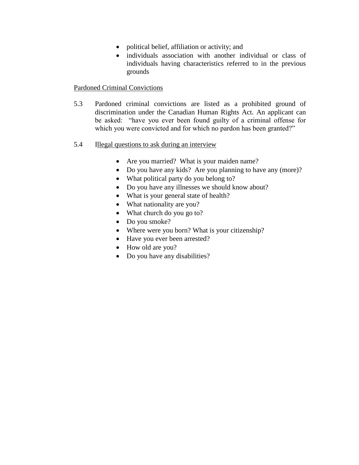- political belief, affiliation or activity; and
- individuals association with another individual or class of individuals having characteristics referred to in the previous grounds

#### Pardoned Criminal Convictions

- 5.3 Pardoned criminal convictions are listed as a prohibited ground of discrimination under the Canadian Human Rights Act. An applicant can be asked: "have you ever been found guilty of a criminal offense for which you were convicted and for which no pardon has been granted?"
- 5.4 Illegal questions to ask during an interview
	- Are you married? What is your maiden name?
	- Do you have any kids? Are you planning to have any (more)?
	- What political party do you belong to?
	- Do you have any illnesses we should know about?
	- What is your general state of health?
	- What nationality are you?
	- What church do you go to?
	- Do you smoke?
	- Where were you born? What is your citizenship?
	- Have you ever been arrested?
	- How old are you?
	- Do you have any disabilities?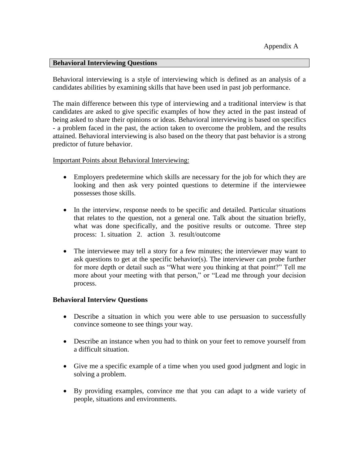#### **Behavioral Interviewing Questions**

Behavioral interviewing is a style of interviewing which is defined as an analysis of a candidates abilities by examining skills that have been used in past job performance.

The main difference between this type of interviewing and a traditional interview is that candidates are asked to give specific examples of how they acted in the past instead of being asked to share their opinions or ideas. Behavioral interviewing is based on specifics - a problem faced in the past, the action taken to overcome the problem, and the results attained. Behavioral interviewing is also based on the theory that past behavior is a strong predictor of future behavior.

#### Important Points about Behavioral Interviewing:

- Employers predetermine which skills are necessary for the job for which they are looking and then ask very pointed questions to determine if the interviewee possesses those skills.
- In the interview, response needs to be specific and detailed. Particular situations that relates to the question, not a general one. Talk about the situation briefly, what was done specifically, and the positive results or outcome. Three step process: 1. situation 2. action 3. result/outcome
- The interviewee may tell a story for a few minutes; the interviewer may want to ask questions to get at the specific behavior(s). The interviewer can probe further for more depth or detail such as "What were you thinking at that point?" Tell me more about your meeting with that person," or "Lead me through your decision process.

#### **Behavioral Interview Questions**

- Describe a situation in which you were able to use persuasion to successfully convince someone to see things your way.
- Describe an instance when you had to think on your feet to remove yourself from a difficult situation.
- Give me a specific example of a time when you used good judgment and logic in solving a problem.
- By providing examples, convince me that you can adapt to a wide variety of people, situations and environments.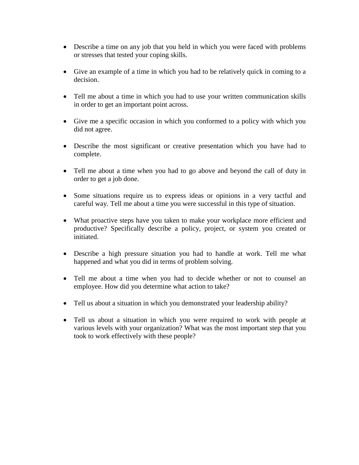- Describe a time on any job that you held in which you were faced with problems or stresses that tested your coping skills.
- Give an example of a time in which you had to be relatively quick in coming to a decision.
- Tell me about a time in which you had to use your written communication skills in order to get an important point across.
- Give me a specific occasion in which you conformed to a policy with which you did not agree.
- Describe the most significant or creative presentation which you have had to complete.
- Tell me about a time when you had to go above and beyond the call of duty in order to get a job done.
- Some situations require us to express ideas or opinions in a very tactful and careful way. Tell me about a time you were successful in this type of situation.
- What proactive steps have you taken to make your workplace more efficient and productive? Specifically describe a policy, project, or system you created or initiated.
- Describe a high pressure situation you had to handle at work. Tell me what happened and what you did in terms of problem solving.
- Tell me about a time when you had to decide whether or not to counsel an employee. How did you determine what action to take?
- Tell us about a situation in which you demonstrated your leadership ability?
- Tell us about a situation in which you were required to work with people at various levels with your organization? What was the most important step that you took to work effectively with these people?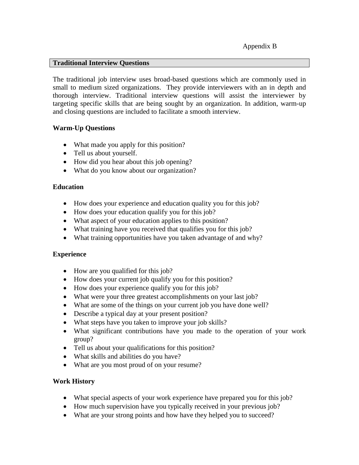#### **Traditional Interview Questions**

The traditional job interview uses broad-based questions which are commonly used in small to medium sized organizations. They provide interviewers with an in depth and thorough interview. Traditional interview questions will assist the interviewer by targeting specific skills that are being sought by an organization. In addition, warm-up and closing questions are included to facilitate a smooth interview.

#### **Warm-Up Questions**

- What made you apply for this position?
- Tell us about yourself.
- How did you hear about this job opening?
- What do you know about our organization?

#### **Education**

- How does your experience and education quality you for this job?
- How does your education qualify you for this job?
- What aspect of your education applies to this position?
- What training have you received that qualifies you for this job?
- What training opportunities have you taken advantage of and why?

## **Experience**

- How are you qualified for this job?
- How does your current job qualify you for this position?
- How does your experience qualify you for this job?
- What were your three greatest accomplishments on your last job?
- What are some of the things on your current job you have done well?
- Describe a typical day at your present position?
- What steps have you taken to improve your job skills?
- What significant contributions have you made to the operation of your work group?
- Tell us about your qualifications for this position?
- What skills and abilities do you have?
- What are you most proud of on your resume?

## **Work History**

- What special aspects of your work experience have prepared you for this job?
- How much supervision have you typically received in your previous job?
- What are your strong points and how have they helped you to succeed?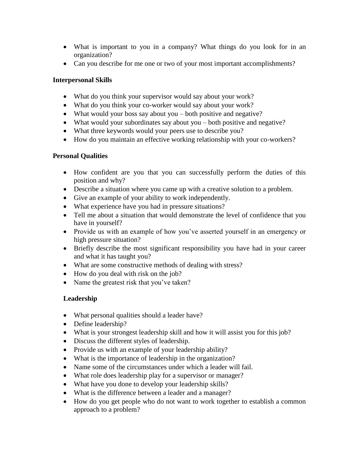- What is important to you in a company? What things do you look for in an organization?
- Can you describe for me one or two of your most important accomplishments?

## **Interpersonal Skills**

- What do you think your supervisor would say about your work?
- What do you think your co-worker would say about your work?
- What would your boss say about you both positive and negative?
- What would your subordinates say about you both positive and negative?
- What three keywords would your peers use to describe you?
- How do you maintain an effective working relationship with your co-workers?

## **Personal Qualities**

- How confident are you that you can successfully perform the duties of this position and why?
- Describe a situation where you came up with a creative solution to a problem.
- Give an example of your ability to work independently.
- What experience have you had in pressure situations?
- Tell me about a situation that would demonstrate the level of confidence that you have in yourself?
- Provide us with an example of how you've asserted yourself in an emergency or high pressure situation?
- Briefly describe the most significant responsibility you have had in your career and what it has taught you?
- What are some constructive methods of dealing with stress?
- How do you deal with risk on the job?
- Name the greatest risk that you've taken?

## **Leadership**

- What personal qualities should a leader have?
- Define leadership?
- What is your strongest leadership skill and how it will assist you for this job?
- Discuss the different styles of leadership.
- Provide us with an example of your leadership ability?
- What is the importance of leadership in the organization?
- Name some of the circumstances under which a leader will fail.
- What role does leadership play for a supervisor or manager?
- What have you done to develop your leadership skills?
- What is the difference between a leader and a manager?
- How do you get people who do not want to work together to establish a common approach to a problem?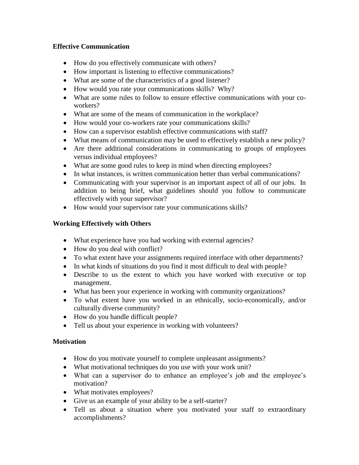## **Effective Communication**

- How do you effectively communicate with others?
- How important is listening to effective communications?
- What are some of the characteristics of a good listener?
- How would you rate your communications skills? Why?
- What are some rules to follow to ensure effective communications with your coworkers?
- What are some of the means of communication in the workplace?
- How would your co-workers rate your communications skills?
- How can a supervisor establish effective communications with staff?
- What means of communication may be used to effectively establish a new policy?
- Are there additional considerations in communicating to groups of employees versus individual employees?
- What are some good rules to keep in mind when directing employees?
- In what instances, is written communication better than verbal communications?
- Communicating with your supervisor is an important aspect of all of our jobs. In addition to being brief, what guidelines should you follow to communicate effectively with your supervisor?
- How would your supervisor rate your communications skills?

## **Working Effectively with Others**

- What experience have you had working with external agencies?
- How do you deal with conflict?
- To what extent have your assignments required interface with other departments?
- In what kinds of situations do you find it most difficult to deal with people?
- Describe to us the extent to which you have worked with executive or top management.
- What has been your experience in working with community organizations?
- To what extent have you worked in an ethnically, socio-economically, and/or culturally diverse community?
- How do you handle difficult people?
- Tell us about your experience in working with volunteers?

## **Motivation**

- How do you motivate yourself to complete unpleasant assignments?
- What motivational techniques do you use with your work unit?
- What can a supervisor do to enhance an employee's job and the employee's motivation?
- What motivates employees?
- Give us an example of your ability to be a self-starter?
- Tell us about a situation where you motivated your staff to extraordinary accomplishments?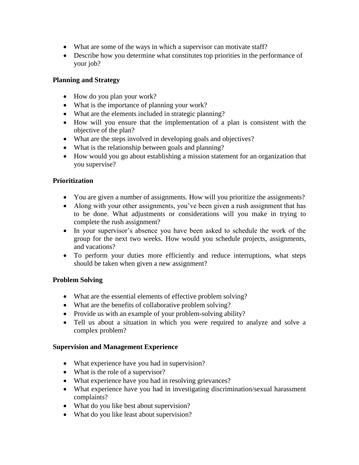- What are some of the ways in which a supervisor can motivate staff?
- Describe how you determine what constitutes top priorities in the performance of your job?

## **Planning and Strategy**

- How do you plan your work?
- What is the importance of planning your work?
- What are the elements included in strategic planning?
- How will you ensure that the implementation of a plan is consistent with the objective of the plan?
- What are the steps involved in developing goals and objectives?
- What is the relationship between goals and planning?
- How would you go about establishing a mission statement for an organization that you supervise?

## **Prioritization**

- You are given a number of assignments. How will you prioritize the assignments?
- Along with your other assignments, you've been given a rush assignment that has to be done. What adjustments or considerations will you make in trying to complete the rush assignment?
- In your supervisor's absence you have been asked to schedule the work of the group for the next two weeks. How would you schedule projects, assignments, and vacations?
- To perform your duties more efficiently and reduce interruptions, what steps should be taken when given a new assignment?

## **Problem Solving**

- What are the essential elements of effective problem solving?
- What are the benefits of collaborative problem solving?
- Provide us with an example of your problem-solving ability?
- Tell us about a situation in which you were required to analyze and solve a complex problem?

## **Supervision and Management Experience**

- What experience have you had in supervision?
- What is the role of a supervisor?
- What experience have you had in resolving grievances?
- What experience have you had in investigating discrimination/sexual harassment complaints?
- What do you like best about supervision?
- What do you like least about supervision?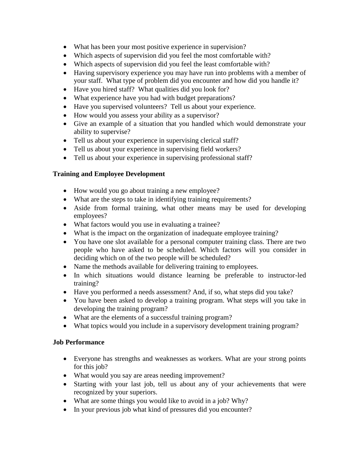- What has been your most positive experience in supervision?
- Which aspects of supervision did you feel the most comfortable with?
- Which aspects of supervision did you feel the least comfortable with?
- Having supervisory experience you may have run into problems with a member of your staff. What type of problem did you encounter and how did you handle it?
- Have you hired staff? What qualities did you look for?
- What experience have you had with budget preparations?
- Have you supervised volunteers? Tell us about your experience.
- How would you assess your ability as a supervisor?
- Give an example of a situation that you handled which would demonstrate your ability to supervise?
- Tell us about your experience in supervising clerical staff?
- Tell us about your experience in supervising field workers?
- Tell us about your experience in supervising professional staff?

## **Training and Employee Development**

- How would you go about training a new employee?
- What are the steps to take in identifying training requirements?
- Aside from formal training, what other means may be used for developing employees?
- What factors would you use in evaluating a trainee?
- What is the impact on the organization of inadequate employee training?
- You have one slot available for a personal computer training class. There are two people who have asked to be scheduled. Which factors will you consider in deciding which on of the two people will be scheduled?
- Name the methods available for delivering training to employees.
- In which situations would distance learning be preferable to instructor-led training?
- Have you performed a needs assessment? And, if so, what steps did you take?
- You have been asked to develop a training program. What steps will you take in developing the training program?
- What are the elements of a successful training program?
- What topics would you include in a supervisory development training program?

## **Job Performance**

- Everyone has strengths and weaknesses as workers. What are your strong points for this job?
- What would you say are areas needing improvement?
- Starting with your last job, tell us about any of your achievements that were recognized by your superiors.
- What are some things you would like to avoid in a job? Why?
- In your previous job what kind of pressures did you encounter?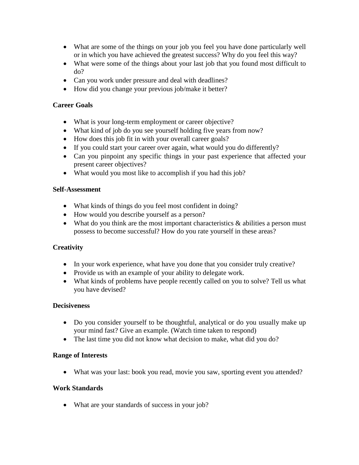- What are some of the things on your job you feel you have done particularly well or in which you have achieved the greatest success? Why do you feel this way?
- What were some of the things about your last job that you found most difficult to do?
- Can you work under pressure and deal with deadlines?
- How did you change your previous job/make it better?

## **Career Goals**

- What is your long-term employment or career objective?
- What kind of job do you see yourself holding five years from now?
- How does this job fit in with your overall career goals?
- If you could start your career over again, what would you do differently?
- Can you pinpoint any specific things in your past experience that affected your present career objectives?
- What would you most like to accomplish if you had this job?

#### **Self-Assessment**

- What kinds of things do you feel most confident in doing?
- How would you describe yourself as a person?
- What do you think are the most important characteristics  $\&$  abilities a person must possess to become successful? How do you rate yourself in these areas?

## **Creativity**

- In your work experience, what have you done that you consider truly creative?
- Provide us with an example of your ability to delegate work.
- What kinds of problems have people recently called on you to solve? Tell us what you have devised?

#### **Decisiveness**

- Do you consider yourself to be thoughtful, analytical or do you usually make up your mind fast? Give an example. (Watch time taken to respond)
- The last time you did not know what decision to make, what did you do?

#### **Range of Interests**

What was your last: book you read, movie you saw, sporting event you attended?

## **Work Standards**

What are your standards of success in your job?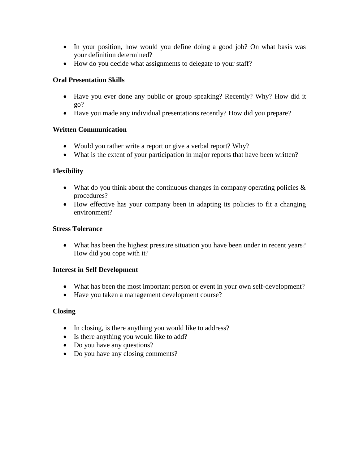- In your position, how would you define doing a good job? On what basis was your definition determined?
- How do you decide what assignments to delegate to your staff?

## **Oral Presentation Skills**

- Have you ever done any public or group speaking? Recently? Why? How did it go?
- Have you made any individual presentations recently? How did you prepare?

## **Written Communication**

- Would you rather write a report or give a verbal report? Why?
- What is the extent of your participation in major reports that have been written?

## **Flexibility**

- What do you think about the continuous changes in company operating policies  $\&$ procedures?
- How effective has your company been in adapting its policies to fit a changing environment?

## **Stress Tolerance**

 What has been the highest pressure situation you have been under in recent years? How did you cope with it?

## **Interest in Self Development**

- What has been the most important person or event in your own self-development?
- Have you taken a management development course?

## **Closing**

- In closing, is there anything you would like to address?
- Is there anything you would like to add?
- Do you have any questions?
- Do you have any closing comments?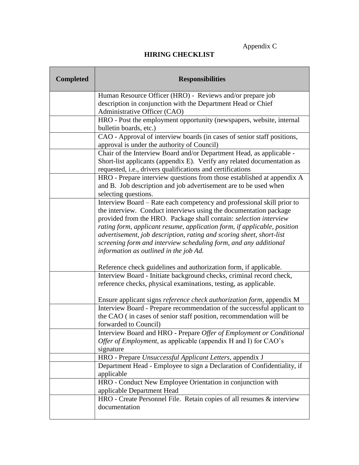## **HIRING CHECKLIST**

| <b>Completed</b> | <b>Responsibilities</b>                                                                        |
|------------------|------------------------------------------------------------------------------------------------|
|                  | Human Resource Officer (HRO) - Reviews and/or prepare job                                      |
|                  | description in conjunction with the Department Head or Chief                                   |
|                  | Administrative Officer (CAO)                                                                   |
|                  | HRO - Post the employment opportunity (newspapers, website, internal<br>bulletin boards, etc.) |
|                  | CAO - Approval of interview boards (in cases of senior staff positions,                        |
|                  | approval is under the authority of Council)                                                    |
|                  | Chair of the Interview Board and/or Department Head, as applicable -                           |
|                  | Short-list applicants (appendix E). Verify any related documentation as                        |
|                  | requested, i.e., drivers qualifications and certifications                                     |
|                  | HRO - Prepare interview questions from those established at appendix A                         |
|                  | and B. Job description and job advertisement are to be used when                               |
|                  | selecting questions.                                                                           |
|                  | Interview Board – Rate each competency and professional skill prior to                         |
|                  | the interview. Conduct interviews using the documentation package                              |
|                  | provided from the HRO. Package shall contain: selection interview                              |
|                  | rating form, applicant resume, application form, if applicable, position                       |
|                  | advertisement, job description, rating and scoring sheet, short-list                           |
|                  | screening form and interview scheduling form, and any additional                               |
|                  | information as outlined in the job Ad.                                                         |
|                  | Reference check guidelines and authorization form, if applicable.                              |
|                  | Interview Board - Initiate background checks, criminal record check,                           |
|                  | reference checks, physical examinations, testing, as applicable.                               |
|                  | Ensure applicant signs reference check authorization form, appendix M                          |
|                  | Interview Board - Prepare recommendation of the successful applicant to                        |
|                  | the CAO (in cases of senior staff position, recommendation will be<br>forwarded to Council)    |
|                  | Interview Board and HRO - Prepare Offer of Employment or Conditional                           |
|                  | Offer of Employment, as applicable (appendix H and I) for CAO's                                |
|                  | signature                                                                                      |
|                  | HRO - Prepare Unsuccessful Applicant Letters, appendix J                                       |
|                  | Department Head - Employee to sign a Declaration of Confidentiality, if                        |
|                  | applicable                                                                                     |
|                  | HRO - Conduct New Employee Orientation in conjunction with                                     |
|                  | applicable Department Head                                                                     |
|                  | HRO - Create Personnel File. Retain copies of all resumes & interview                          |
|                  | documentation                                                                                  |
|                  |                                                                                                |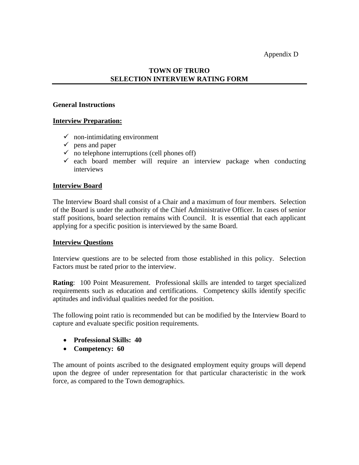Appendix D

## **TOWN OF TRURO SELECTION INTERVIEW RATING FORM**

#### **General Instructions**

#### **Interview Preparation:**

- $\checkmark$  non-intimidating environment
- $\checkmark$  pens and paper
- $\checkmark$  no telephone interruptions (cell phones off)
- $\checkmark$  each board member will require an interview package when conducting interviews

#### **Interview Board**

The Interview Board shall consist of a Chair and a maximum of four members. Selection of the Board is under the authority of the Chief Administrative Officer. In cases of senior staff positions, board selection remains with Council. It is essential that each applicant applying for a specific position is interviewed by the same Board.

#### **Interview Questions**

Interview questions are to be selected from those established in this policy. Selection Factors must be rated prior to the interview.

**Rating**: 100 Point Measurement. Professional skills are intended to target specialized requirements such as education and certifications. Competency skills identify specific aptitudes and individual qualities needed for the position.

The following point ratio is recommended but can be modified by the Interview Board to capture and evaluate specific position requirements.

- **Professional Skills: 40**
- **Competency: 60**

The amount of points ascribed to the designated employment equity groups will depend upon the degree of under representation for that particular characteristic in the work force, as compared to the Town demographics.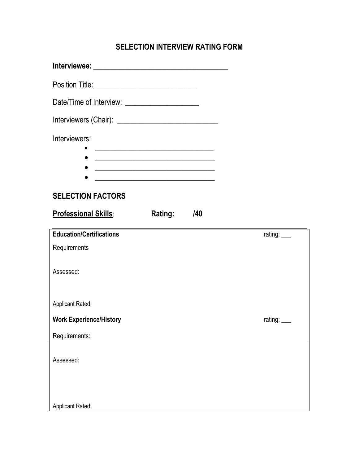## **SELECTION INTERVIEW RATING FORM**

| Position Title: ________________________________                                                                                                                                                                                                |                |
|-------------------------------------------------------------------------------------------------------------------------------------------------------------------------------------------------------------------------------------------------|----------------|
| Date/Time of Interview: _____________________                                                                                                                                                                                                   |                |
|                                                                                                                                                                                                                                                 |                |
| Interviewers:                                                                                                                                                                                                                                   |                |
| <u> 1989 - Johann Barn, mars ann an t-Amhain an t-Amhain an t-Amhain an t-Amhain an t-Amhain an t-Amhain an t-Amh</u><br><u> 1989 - Andrea Andrew Maria (h. 1989).</u>                                                                          |                |
| <u> 1989 - Johann John Stein, markin fan it fjort fan it fjort fan it fjort fan it fjort fan it fjort fan it fjor</u><br><u> 1980 - Johann John Harry Harry Harry Harry Harry Harry Harry Harry Harry Harry Harry Harry Harry Harry Harry H</u> |                |
| <b>SELECTION FACTORS</b>                                                                                                                                                                                                                        |                |
| <b>Professional Skills:</b><br>/40<br><b>Rating:</b>                                                                                                                                                                                            |                |
| <b>Education/Certifications</b>                                                                                                                                                                                                                 | rating: $\_\_$ |
| Requirements                                                                                                                                                                                                                                    |                |
| Assessed:                                                                                                                                                                                                                                       |                |
| <b>Applicant Rated:</b>                                                                                                                                                                                                                         |                |
| <b>Work Experience/History</b>                                                                                                                                                                                                                  | rating: ___    |
| Requirements:                                                                                                                                                                                                                                   |                |
| Assessed:                                                                                                                                                                                                                                       |                |
|                                                                                                                                                                                                                                                 |                |
|                                                                                                                                                                                                                                                 |                |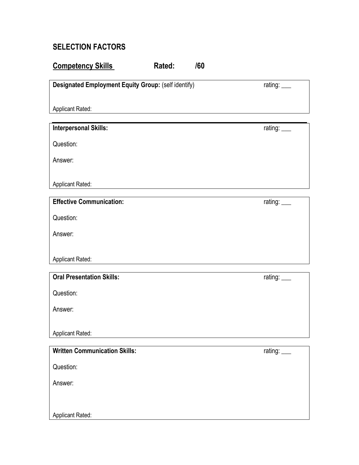## **SELECTION FACTORS**

## **Competency Skills Rated:** /60

**Designated Employment Equity Group:** (self identify) rating: \_\_\_\_

Applicant Rated:

## **Interpersonal Skills:** rating: \_\_\_

Question:

Answer:

Applicant Rated:

## **Effective Communication:**  $r^2$  and  $r^2$  and  $r^2$  and  $r^2$  and  $r^2$  and  $r^2$  and  $r^2$  and  $r^2$  and  $r^2$  and  $r^2$  and  $r^2$  and  $r^2$  and  $r^2$  and  $r^2$  and  $r^2$  and  $r^2$  and  $r^2$  and  $r^2$  and  $r^2$  and  $r^2$

Question:

Answer:

Applicant Rated:

# **Oral Presentation Skills:** rating: \_\_\_

Question:

Answer:

Applicant Rated:

Question:

Answer:

Applicant Rated:

rating: <u>\_\_\_</u>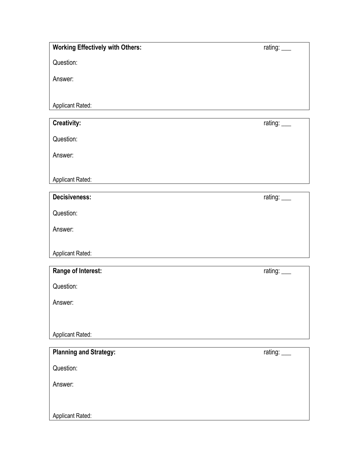## **Working Effectively with Others:** rating: \_\_\_

Question:

Answer:

Applicant Rated:

**Creativity:** rating: \_\_\_

Question:

Answer:

Applicant Rated:

| <b>Decisiveness:</b> |
|----------------------|
|----------------------|

Question:

Answer:

Applicant Rated:

| Range of Interest:            | rating: $\_\_$ |
|-------------------------------|----------------|
| Question:                     |                |
| Answer:                       |                |
|                               |                |
| <b>Applicant Rated:</b>       |                |
|                               |                |
| <b>Planning and Strategy:</b> | rating:        |

Question:

Answer:

Applicant Rated: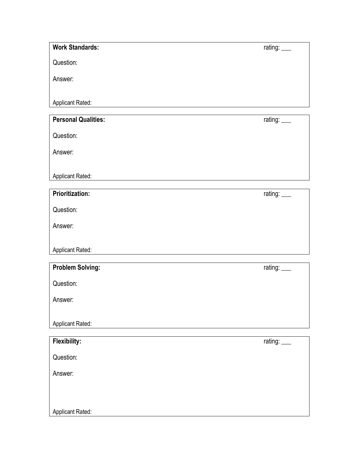| <b>Work Standards:</b>     | rating: ___    |
|----------------------------|----------------|
| Question:                  |                |
| Answer:                    |                |
| Applicant Rated:           |                |
| <b>Personal Qualities:</b> | rating: ___    |
| Question:                  |                |
| Answer:                    |                |
| Applicant Rated:           |                |
| <b>Prioritization:</b>     | rating: $\_\_$ |
| Question:                  |                |
| Answer:                    |                |
| Applicant Rated:           |                |
|                            |                |
| <b>Problem Solving:</b>    | rating:        |
| Question:                  |                |
| Answer:                    |                |

Applicant Rated: **Flexibility:** rating: \_\_\_

Question: Answer: Applicant Rated: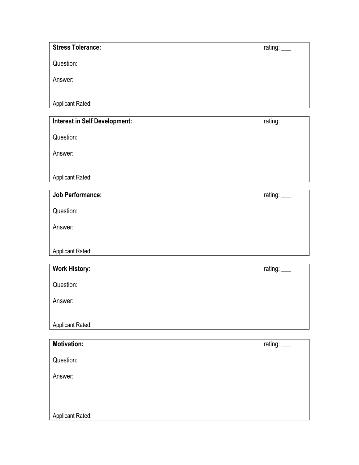## **Stress Tolerance:** rating: \_\_\_

Question:

Answer:

Applicant Rated:

## **Interest in Self Development:** rating: \_\_\_

Question:

Answer:

Applicant Rated:

| <b>Job Performance:</b> | rating: $\_\_$ |
|-------------------------|----------------|
| Question:               |                |
| Answer:                 |                |
| <b>Applicant Rated:</b> |                |

| <b>Work History:</b>    | rating: $\_\_$ |
|-------------------------|----------------|
| Question:               |                |
| Answer:                 |                |
|                         |                |
| <b>Applicant Rated:</b> |                |

| <b>Motivation:</b>      | rating: ___ |
|-------------------------|-------------|
| Question:               |             |
| Answer:                 |             |
|                         |             |
| <b>Applicant Rated:</b> |             |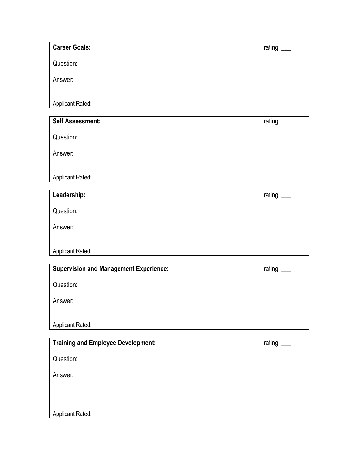Question:

Answer:

Applicant Rated:

| <b>Self Assessment:</b> | rating: $\_\_$ |
|-------------------------|----------------|
| Question:               |                |
| Answer:                 |                |
| <b>Applicant Rated:</b> |                |
|                         |                |

| Leadership:             | rating: $\_\_$ |
|-------------------------|----------------|
| Question:               |                |
| Answer:                 |                |
| <b>Applicant Rated:</b> |                |

| <b>Supervision and Management Experience:</b> | rating: ___ |
|-----------------------------------------------|-------------|
| Question:                                     |             |
| Answer:                                       |             |
| <b>Applicant Rated:</b>                       |             |
|                                               |             |
| Training and Employee Development:            | rating:     |

| Question:               |  |
|-------------------------|--|
| Answer:                 |  |
|                         |  |
| <b>Applicant Rated:</b> |  |

rating: \_\_\_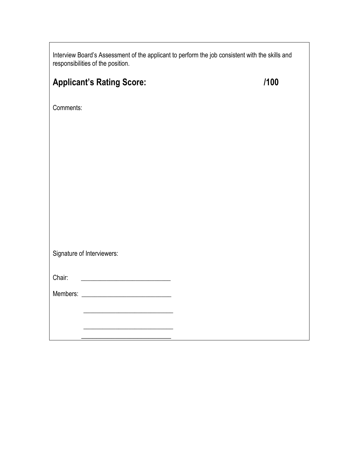| Interview Board's Assessment of the applicant to perform the job consistent with the skills and<br>responsibilities of the position. |      |
|--------------------------------------------------------------------------------------------------------------------------------------|------|
| <b>Applicant's Rating Score:</b>                                                                                                     | /100 |
| Comments:                                                                                                                            |      |
|                                                                                                                                      |      |
|                                                                                                                                      |      |
|                                                                                                                                      |      |
|                                                                                                                                      |      |
|                                                                                                                                      |      |
| Signature of Interviewers:                                                                                                           |      |
| <u> 1989 - Johann Barbara, martin a</u><br>Chair:                                                                                    |      |
|                                                                                                                                      |      |
| <u> 1989 - Johann Barbara, martxa alemani</u> ar a                                                                                   |      |

 $\Gamma$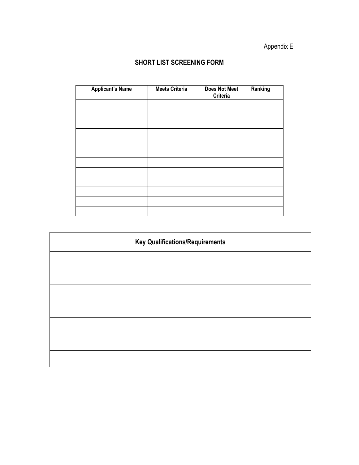## Appendix E

## **SHORT LIST SCREENING FORM**

| <b>Applicant's Name</b> | <b>Meets Criteria</b> | <b>Does Not Meet</b><br>Criteria | Ranking |
|-------------------------|-----------------------|----------------------------------|---------|
|                         |                       |                                  |         |
|                         |                       |                                  |         |
|                         |                       |                                  |         |
|                         |                       |                                  |         |
|                         |                       |                                  |         |
|                         |                       |                                  |         |
|                         |                       |                                  |         |
|                         |                       |                                  |         |
|                         |                       |                                  |         |
|                         |                       |                                  |         |
|                         |                       |                                  |         |
|                         |                       |                                  |         |

| <b>Key Qualifications/Requirements</b> |  |  |
|----------------------------------------|--|--|
|                                        |  |  |
|                                        |  |  |
|                                        |  |  |
|                                        |  |  |
|                                        |  |  |
|                                        |  |  |
|                                        |  |  |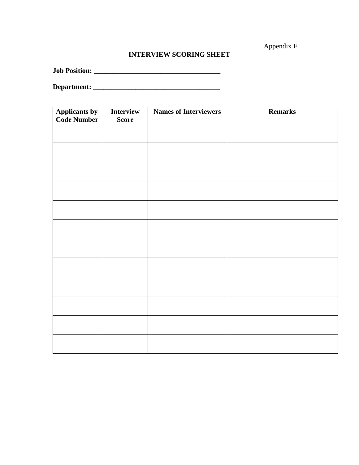Appendix F

## **INTERVIEW SCORING SHEET**

**Job Position: \_\_\_\_\_\_\_\_\_\_\_\_\_\_\_\_\_\_\_\_\_\_\_\_\_\_\_\_\_\_\_\_\_\_\_\_**

**Department: \_\_\_\_\_\_\_\_\_\_\_\_\_\_\_\_\_\_\_\_\_\_\_\_\_\_\_\_\_\_\_\_\_\_\_\_**

| <b>Applicants by</b><br><b>Code Number</b> | Interview<br><b>Score</b> | <b>Names of Interviewers</b> | Remarks |
|--------------------------------------------|---------------------------|------------------------------|---------|
|                                            |                           |                              |         |
|                                            |                           |                              |         |
|                                            |                           |                              |         |
|                                            |                           |                              |         |
|                                            |                           |                              |         |
|                                            |                           |                              |         |
|                                            |                           |                              |         |
|                                            |                           |                              |         |
|                                            |                           |                              |         |
|                                            |                           |                              |         |
|                                            |                           |                              |         |
|                                            |                           |                              |         |
|                                            |                           |                              |         |
|                                            |                           |                              |         |
|                                            |                           |                              |         |
|                                            |                           |                              |         |
|                                            |                           |                              |         |
|                                            |                           |                              |         |
|                                            |                           |                              |         |
|                                            |                           |                              |         |
|                                            |                           |                              |         |
|                                            |                           |                              |         |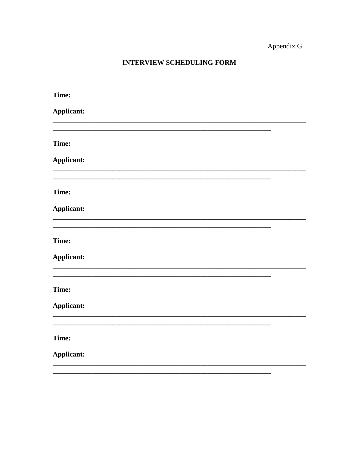## Appendix G

## INTERVIEW SCHEDULING FORM

| Time:      |  |
|------------|--|
| Applicant: |  |
|            |  |
| Time:      |  |
| Applicant: |  |
|            |  |
| Time:      |  |
| Applicant: |  |
|            |  |
| Time:      |  |
| Applicant: |  |
|            |  |
| Time:      |  |
| Applicant: |  |
|            |  |
| Time:      |  |
| Applicant: |  |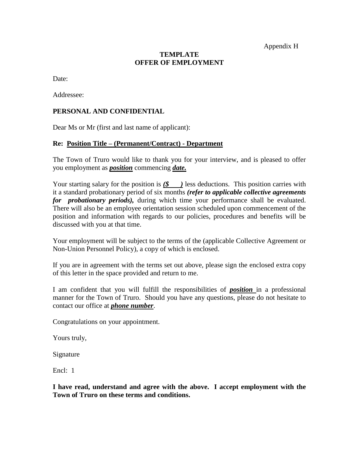Appendix H

## **TEMPLATE OFFER OF EMPLOYMENT**

Date:

Addressee:

#### **PERSONAL AND CONFIDENTIAL**

Dear Ms or Mr (first and last name of applicant):

#### **Re: Position Title – (Permanent/Contract) - Department**

The Town of Truro would like to thank you for your interview, and is pleased to offer you employment as *position* commencing *date.*

Your starting salary for the position is  $(\frac{2}{3})$  less deductions. This position carries with it a standard probationary period of six months *(refer to applicable collective agreements for probationary periods),* during which time your performance shall be evaluated. There will also be an employee orientation session scheduled upon commencement of the position and information with regards to our policies, procedures and benefits will be discussed with you at that time.

Your employment will be subject to the terms of the (applicable Collective Agreement or Non-Union Personnel Policy), a copy of which is enclosed.

If you are in agreement with the terms set out above, please sign the enclosed extra copy of this letter in the space provided and return to me.

I am confident that you will fulfill the responsibilities of *position* in a professional manner for the Town of Truro. Should you have any questions, please do not hesitate to contact our office at *phone number*.

Congratulations on your appointment.

Yours truly,

Signature

Encl: 1

**I have read, understand and agree with the above. I accept employment with the Town of Truro on these terms and conditions.**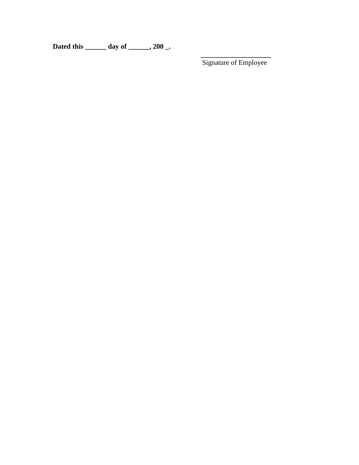**Dated this \_\_\_\_\_\_ day of \_\_\_\_\_\_, 200 \_.**

**\_\_\_\_\_\_\_\_\_\_\_\_\_\_\_\_\_\_\_\_** Signature of Employee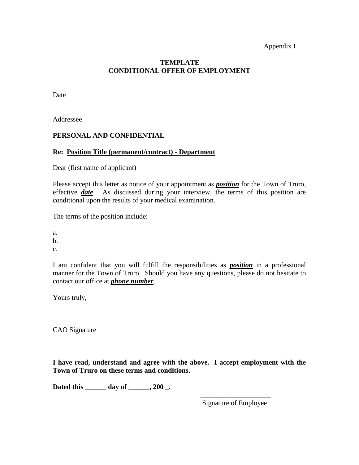#### Appendix I

#### **TEMPLATE CONDITIONAL OFFER OF EMPLOYMENT**

Date

Addressee

#### **PERSONAL AND CONFIDENTIAL**

#### **Re: Position Title (permanent/contract) - Department**

Dear (first name of applicant)

Please accept this letter as notice of your appointment as *position* for the Town of Truro, effective *date*. As discussed during your interview, the terms of this position are conditional upon the results of your medical examination.

The terms of the position include:

a.

b.

c.

I am confident that you will fulfill the responsibilities as *position* in a professional manner for the Town of Truro. Should you have any questions, please do not hesitate to contact our office at *phone number*.

Yours truly,

CAO Signature

**I have read, understand and agree with the above. I accept employment with the Town of Truro on these terms and conditions.**

**Dated this \_\_\_\_\_\_ day of \_\_\_\_\_\_, 200 \_.**

**\_\_\_\_\_\_\_\_\_\_\_\_\_\_\_\_\_\_\_\_** Signature of Employee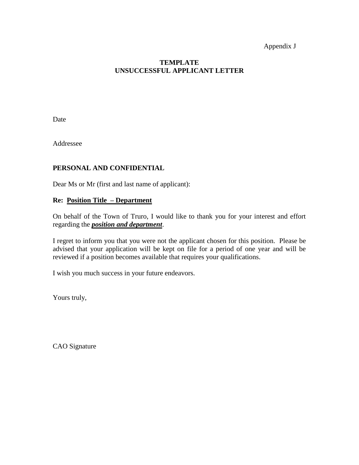#### Appendix J

#### **TEMPLATE UNSUCCESSFUL APPLICANT LETTER**

Date

Addressee

## **PERSONAL AND CONFIDENTIAL**

Dear Ms or Mr (first and last name of applicant):

#### **Re: Position Title – Department**

On behalf of the Town of Truro, I would like to thank you for your interest and effort regarding the *position and department*.

I regret to inform you that you were not the applicant chosen for this position. Please be advised that your application will be kept on file for a period of one year and will be reviewed if a position becomes available that requires your qualifications.

I wish you much success in your future endeavors.

Yours truly,

CAO Signature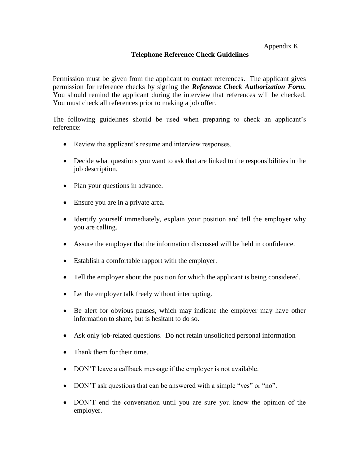#### **Telephone Reference Check Guidelines**

Permission must be given from the applicant to contact references. The applicant gives permission for reference checks by signing the *Reference Check Authorization Form.* You should remind the applicant during the interview that references will be checked. You must check all references prior to making a job offer.

The following guidelines should be used when preparing to check an applicant's reference:

- Review the applicant's resume and interview responses.
- Decide what questions you want to ask that are linked to the responsibilities in the job description.
- Plan your questions in advance.
- Ensure you are in a private area.
- Identify yourself immediately, explain your position and tell the employer why you are calling.
- Assure the employer that the information discussed will be held in confidence.
- Establish a comfortable rapport with the employer.
- Tell the employer about the position for which the applicant is being considered.
- Let the employer talk freely without interrupting.
- Be alert for obvious pauses, which may indicate the employer may have other information to share, but is hesitant to do so.
- Ask only job-related questions. Do not retain unsolicited personal information
- Thank them for their time.
- DON'T leave a callback message if the employer is not available.
- DON'T ask questions that can be answered with a simple "yes" or "no".
- DON'T end the conversation until you are sure you know the opinion of the employer.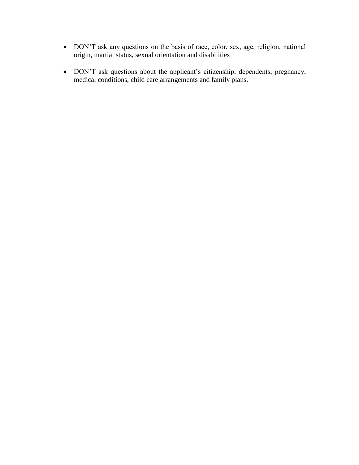- DON'T ask any questions on the basis of race, color, sex, age, religion, national origin, martial status, sexual orientation and disabilities
- DON'T ask questions about the applicant's citizenship, dependents, pregnancy, medical conditions, child care arrangements and family plans.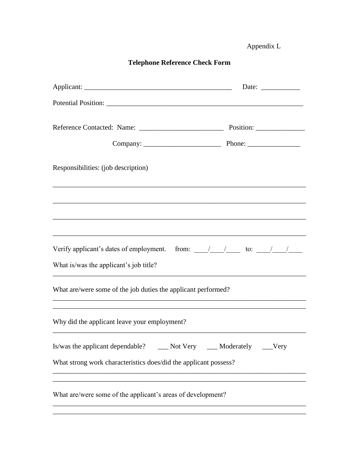Appendix L

|  | <b>Telephone Reference Check Form</b> |  |  |
|--|---------------------------------------|--|--|
|--|---------------------------------------|--|--|

| Responsibilities: (job description)                                            |  |
|--------------------------------------------------------------------------------|--|
|                                                                                |  |
|                                                                                |  |
|                                                                                |  |
| What is/was the applicant's job title?                                         |  |
| What are/were some of the job duties the applicant performed?                  |  |
| Why did the applicant leave your employment?                                   |  |
| Is/was the applicant dependable? ______ Not Very ______ Moderately ______ Very |  |
| What strong work characteristics does/did the applicant possess?               |  |
| What are/were some of the applicant's areas of development?                    |  |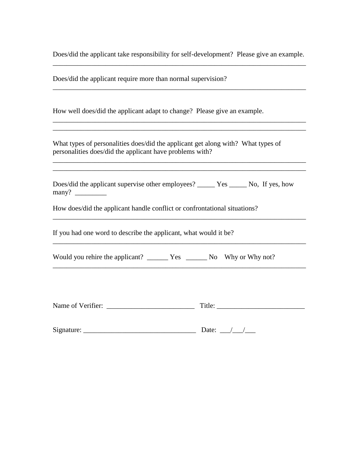Does/did the applicant take responsibility for self-development? Please give an example. \_\_\_\_\_\_\_\_\_\_\_\_\_\_\_\_\_\_\_\_\_\_\_\_\_\_\_\_\_\_\_\_\_\_\_\_\_\_\_\_\_\_\_\_\_\_\_\_\_\_\_\_\_\_\_\_\_\_\_\_\_\_\_\_\_\_\_\_\_\_\_\_

\_\_\_\_\_\_\_\_\_\_\_\_\_\_\_\_\_\_\_\_\_\_\_\_\_\_\_\_\_\_\_\_\_\_\_\_\_\_\_\_\_\_\_\_\_\_\_\_\_\_\_\_\_\_\_\_\_\_\_\_\_\_\_\_\_\_\_\_\_\_\_\_

\_\_\_\_\_\_\_\_\_\_\_\_\_\_\_\_\_\_\_\_\_\_\_\_\_\_\_\_\_\_\_\_\_\_\_\_\_\_\_\_\_\_\_\_\_\_\_\_\_\_\_\_\_\_\_\_\_\_\_\_\_\_\_\_\_\_\_\_\_\_\_\_ \_\_\_\_\_\_\_\_\_\_\_\_\_\_\_\_\_\_\_\_\_\_\_\_\_\_\_\_\_\_\_\_\_\_\_\_\_\_\_\_\_\_\_\_\_\_\_\_\_\_\_\_\_\_\_\_\_\_\_\_\_\_\_\_\_\_\_\_\_\_\_\_

\_\_\_\_\_\_\_\_\_\_\_\_\_\_\_\_\_\_\_\_\_\_\_\_\_\_\_\_\_\_\_\_\_\_\_\_\_\_\_\_\_\_\_\_\_\_\_\_\_\_\_\_\_\_\_\_\_\_\_\_\_\_\_\_\_\_\_\_\_\_\_\_

\_\_\_\_\_\_\_\_\_\_\_\_\_\_\_\_\_\_\_\_\_\_\_\_\_\_\_\_\_\_\_\_\_\_\_\_\_\_\_\_\_\_\_\_\_\_\_\_\_\_\_\_\_\_\_\_\_\_\_\_\_\_\_\_\_\_\_\_\_\_\_\_

\_\_\_\_\_\_\_\_\_\_\_\_\_\_\_\_\_\_\_\_\_\_\_\_\_\_\_\_\_\_\_\_\_\_\_\_\_\_\_\_\_\_\_\_\_\_\_\_\_\_\_\_\_\_\_\_\_\_\_\_\_\_\_\_\_\_\_\_\_\_\_\_

\_\_\_\_\_\_\_\_\_\_\_\_\_\_\_\_\_\_\_\_\_\_\_\_\_\_\_\_\_\_\_\_\_\_\_\_\_\_\_\_\_\_\_\_\_\_\_\_\_\_\_\_\_\_\_\_\_\_\_\_\_\_\_\_\_\_\_\_\_\_\_\_

Does/did the applicant require more than normal supervision?

How well does/did the applicant adapt to change? Please give an example.

What types of personalities does/did the applicant get along with? What types of personalities does/did the applicant have problems with?

Does/did the applicant supervise other employees? \_\_\_\_\_ Yes \_\_\_\_\_ No, If yes, how many?  $\frac{1}{\sqrt{1-\frac{1}{2}}\sqrt{1-\frac{1}{2}}\left\vert \frac{1}{2}+1\right\vert }$ 

How does/did the applicant handle conflict or confrontational situations?

If you had one word to describe the applicant, what would it be?

Would you rehire the applicant? \_\_\_\_\_\_\_ Yes \_\_\_\_\_\_\_ No Why or Why not?

| Name of<br>Verifier:<br>________ |  |  |
|----------------------------------|--|--|
|                                  |  |  |

| Sig<br>11TQ |  |  |
|-------------|--|--|
|             |  |  |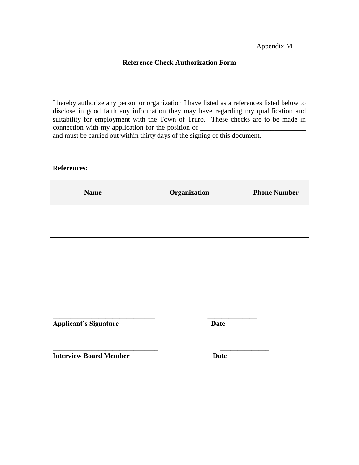#### Appendix M

#### **Reference Check Authorization Form**

I hereby authorize any person or organization I have listed as a references listed below to disclose in good faith any information they may have regarding my qualification and suitability for employment with the Town of Truro. These checks are to be made in connection with my application for the position of  $\overline{\phantom{a}}$ and must be carried out within thirty days of the signing of this document.

#### **References:**

| <b>Name</b> | Organization | <b>Phone Number</b> |
|-------------|--------------|---------------------|
|             |              |                     |
|             |              |                     |
|             |              |                     |
|             |              |                     |

**\_\_\_\_\_\_\_\_\_\_\_\_\_\_\_\_\_\_\_\_\_\_\_\_\_\_\_\_\_\_ \_\_\_\_\_\_\_\_\_\_\_\_\_\_**

**\_\_\_\_\_\_\_\_\_\_\_\_\_\_\_\_\_\_\_\_\_\_\_\_\_\_\_\_\_ \_\_\_\_\_\_\_\_\_\_\_\_\_\_ Applicant's Signature Date**

**Interview Board Member Date**